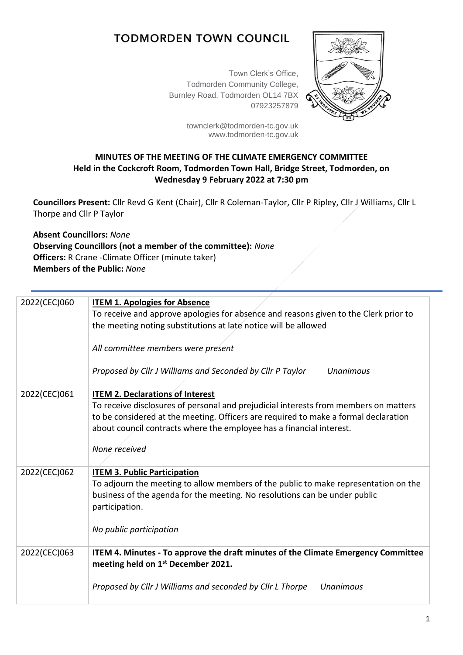## **TODMORDEN TOWN COUNCIL**

Town Clerk's Office, Todmorden Community College, Burnley Road, Todmorden OL14 7BX 07923257879



[townclerk@todmorden-tc.gov.uk](mailto:townclerk@todmorden-tc.gov.uk) www.todmorden-tc.gov.uk

## **MINUTES OF THE MEETING OF THE CLIMATE EMERGENCY COMMITTEE Held in the Cockcroft Room, Todmorden Town Hall, Bridge Street, Todmorden, on Wednesday 9 February 2022 at 7:30 pm**

**Councillors Present:** Cllr Revd G Kent (Chair), Cllr R Coleman-Taylor, Cllr P Ripley, Cllr J Williams, Cllr L Thorpe and Cllr P Taylor

**Absent Councillors:** *None* **Observing Councillors (not a member of the committee):** *None* **Officers:** R Crane -Climate Officer (minute taker) **Members of the Public:** *None*

| 2022(CEC)060 | <b>ITEM 1. Apologies for Absence</b>                                                 |
|--------------|--------------------------------------------------------------------------------------|
|              | To receive and approve apologies for absence and reasons given to the Clerk prior to |
|              | the meeting noting substitutions at late notice will be allowed                      |
|              | All committee members were present                                                   |
|              |                                                                                      |
|              | Proposed by Cllr J Williams and Seconded by Cllr P Taylor<br>Unanimous               |
| 2022(CEC)061 | <b>ITEM 2. Declarations of Interest</b>                                              |
|              | To receive disclosures of personal and prejudicial interests from members on matters |
|              | to be considered at the meeting. Officers are required to make a formal declaration  |
|              | about council contracts where the employee has a financial interest.                 |
|              | None received                                                                        |
|              |                                                                                      |
| 2022(CEC)062 | <b>ITEM 3. Public Participation</b>                                                  |
|              | To adjourn the meeting to allow members of the public to make representation on the  |
|              | business of the agenda for the meeting. No resolutions can be under public           |
|              | participation.                                                                       |
|              | No public participation                                                              |
| 2022(CEC)063 | ITEM 4. Minutes - To approve the draft minutes of the Climate Emergency Committee    |
|              | meeting held on 1st December 2021.                                                   |
|              | Proposed by Cllr J Williams and seconded by Cllr L Thorpe<br>Unanimous               |
|              |                                                                                      |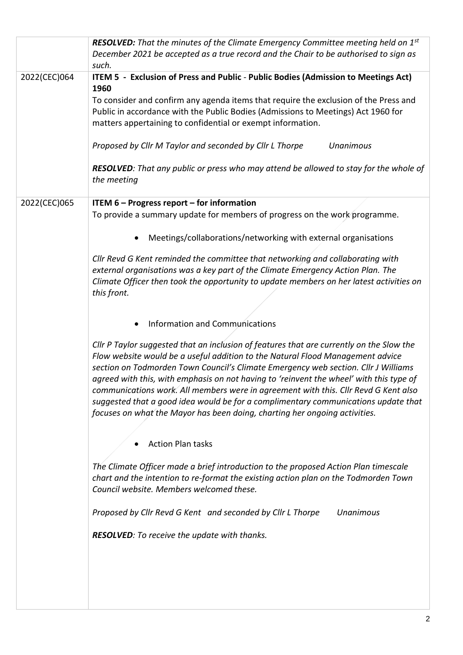|              | <b>RESOLVED:</b> That the minutes of the Climate Emergency Committee meeting held on $1st$<br>December 2021 be accepted as a true record and the Chair to be authorised to sign as<br>such.                                                                                                                                                                                                                                                                                                                                                                                                                            |
|--------------|------------------------------------------------------------------------------------------------------------------------------------------------------------------------------------------------------------------------------------------------------------------------------------------------------------------------------------------------------------------------------------------------------------------------------------------------------------------------------------------------------------------------------------------------------------------------------------------------------------------------|
| 2022(CEC)064 | ITEM 5 - Exclusion of Press and Public - Public Bodies (Admission to Meetings Act)                                                                                                                                                                                                                                                                                                                                                                                                                                                                                                                                     |
|              | 1960<br>To consider and confirm any agenda items that require the exclusion of the Press and<br>Public in accordance with the Public Bodies (Admissions to Meetings) Act 1960 for<br>matters appertaining to confidential or exempt information.                                                                                                                                                                                                                                                                                                                                                                       |
|              | Proposed by Cllr M Taylor and seconded by Cllr L Thorpe<br><b>Unanimous</b>                                                                                                                                                                                                                                                                                                                                                                                                                                                                                                                                            |
|              | RESOLVED: That any public or press who may attend be allowed to stay for the whole of<br>the meeting                                                                                                                                                                                                                                                                                                                                                                                                                                                                                                                   |
| 2022(CEC)065 | ITEM $6$ – Progress report – for information                                                                                                                                                                                                                                                                                                                                                                                                                                                                                                                                                                           |
|              | To provide a summary update for members of progress on the work programme.                                                                                                                                                                                                                                                                                                                                                                                                                                                                                                                                             |
|              | Meetings/collaborations/networking with external organisations                                                                                                                                                                                                                                                                                                                                                                                                                                                                                                                                                         |
|              | Cllr Revd G Kent reminded the committee that networking and collaborating with<br>external organisations was a key part of the Climate Emergency Action Plan. The<br>Climate Officer then took the opportunity to update members on her latest activities on<br>this front.                                                                                                                                                                                                                                                                                                                                            |
|              | <b>Information and Communications</b>                                                                                                                                                                                                                                                                                                                                                                                                                                                                                                                                                                                  |
|              | Cllr P Taylor suggested that an inclusion of features that are currently on the Slow the<br>Flow website would be a useful addition to the Natural Flood Management advice<br>section on Todmorden Town Council's Climate Emergency web section. Cllr J Williams<br>agreed with this, with emphasis on not having to 'reinvent the wheel' with this type of<br>communications work. All members were in agreement with this. Cllr Revd G Kent also<br>suggested that a good idea would be for a complimentary communications update that<br>focuses on what the Mayor has been doing, charting her ongoing activities. |
|              | <b>Action Plan tasks</b>                                                                                                                                                                                                                                                                                                                                                                                                                                                                                                                                                                                               |
|              | The Climate Officer made a brief introduction to the proposed Action Plan timescale<br>chart and the intention to re-format the existing action plan on the Todmorden Town<br>Council website. Members welcomed these.                                                                                                                                                                                                                                                                                                                                                                                                 |
|              | Proposed by Cllr Revd G Kent and seconded by Cllr L Thorpe<br><b>Unanimous</b>                                                                                                                                                                                                                                                                                                                                                                                                                                                                                                                                         |
|              | <b>RESOLVED:</b> To receive the update with thanks.                                                                                                                                                                                                                                                                                                                                                                                                                                                                                                                                                                    |
|              |                                                                                                                                                                                                                                                                                                                                                                                                                                                                                                                                                                                                                        |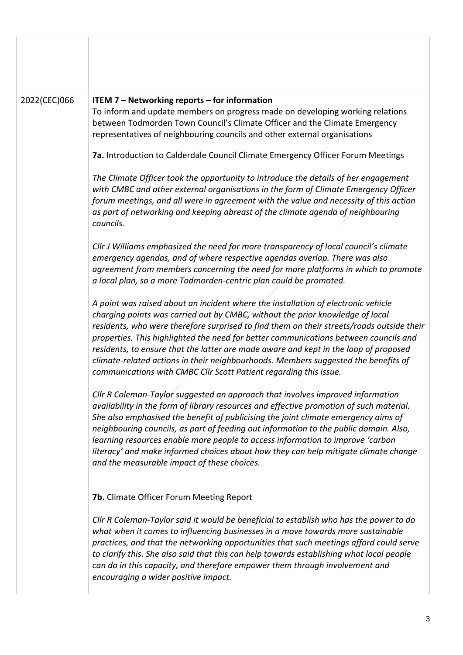| 2022(CEC)066 | ITEM 7 - Networking reports - for information<br>To inform and update members on progress made on developing working relations<br>between Todmorden Town Council's Climate Officer and the Climate Emergency<br>representatives of neighbouring councils and other external organisations<br>7a. Introduction to Calderdale Council Climate Emergency Officer Forum Meetings<br>The Climate Officer took the opportunity to introduce the details of her engagement                                                                                                                                        |
|--------------|------------------------------------------------------------------------------------------------------------------------------------------------------------------------------------------------------------------------------------------------------------------------------------------------------------------------------------------------------------------------------------------------------------------------------------------------------------------------------------------------------------------------------------------------------------------------------------------------------------|
|              | with CMBC and other external organisations in the form of Climate Emergency Officer<br>forum meetings, and all were in agreement with the value and necessity of this action<br>as part of networking and keeping abreast of the climate agenda of neighbouring<br>councils.                                                                                                                                                                                                                                                                                                                               |
|              | Cllr J Williams emphasized the need for more transparency of local council's climate<br>emergency agendas, and of where respective agendas overlap. There was also<br>agreement from members concerning the need for more platforms in which to promote<br>a local plan, so a more Todmorden-centric plan could be promoted.                                                                                                                                                                                                                                                                               |
|              | A point was raised about an incident where the installation of electronic vehicle<br>charging points was carried out by CMBC, without the prior knowledge of local<br>residents, who were therefore surprised to find them on their streets/roads outside their<br>properties. This highlighted the need for better communications between councils and<br>residents, to ensure that the latter are made aware and kept in the loop of proposed<br>climate-related actions in their neighbourhoods. Members suggested the benefits of<br>communications with CMBC Cllr Scott Patient regarding this issue. |
|              | Cllr R Coleman-Taylor suggested an approach that involves improved information<br>availability in the form of library resources and effective promotion of such material.<br>She also emphasised the benefit of publicising the joint climate emergency aims of<br>neighbouring councils, as part of feeding out information to the public domain. Also,<br>learning resources enable more people to access information to improve 'carbon<br>literacy' and make informed choices about how they can help mitigate climate change<br>and the measurable impact of these choices.                           |
|              | 7b. Climate Officer Forum Meeting Report                                                                                                                                                                                                                                                                                                                                                                                                                                                                                                                                                                   |
|              | Cllr R Coleman-Taylor said it would be beneficial to establish who has the power to do<br>what when it comes to influencing businesses in a move towards more sustainable<br>practices, and that the networking opportunities that such meetings afford could serve<br>to clarify this. She also said that this can help towards establishing what local people<br>can do in this capacity, and therefore empower them through involvement and<br>encouraging a wider positive impact.                                                                                                                     |
|              |                                                                                                                                                                                                                                                                                                                                                                                                                                                                                                                                                                                                            |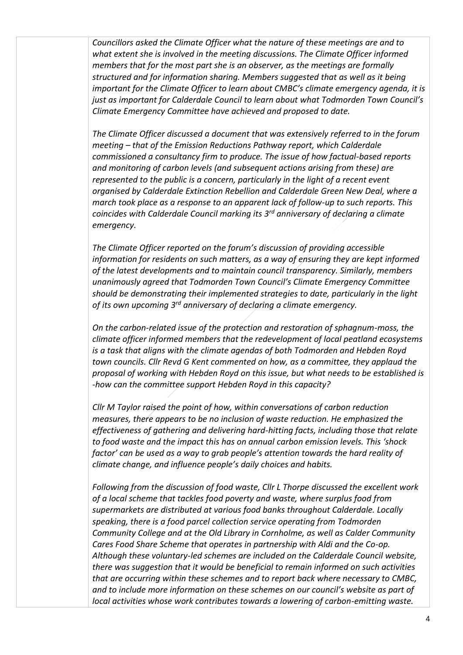*Councillors asked the Climate Officer what the nature of these meetings are and to what extent she is involved in the meeting discussions. The Climate Officer informed members that for the most part she is an observer, as the meetings are formally structured and for information sharing. Members suggested that as well as it being important for the Climate Officer to learn about CMBC's climate emergency agenda, it is just as important for Calderdale Council to learn about what Todmorden Town Council's Climate Emergency Committee have achieved and proposed to date.*

*The Climate Officer discussed a document that was extensively referred to in the forum meeting – that of the Emission Reductions Pathway report, which Calderdale commissioned a consultancy firm to produce. The issue of how factual-based reports and monitoring of carbon levels (and subsequent actions arising from these) are represented to the public is a concern, particularly in the light of a recent event organised by Calderdale Extinction Rebellion and Calderdale Green New Deal, where a march took place as a response to an apparent lack of follow-up to such reports. This coincides with Calderdale Council marking its 3rd anniversary of declaring a climate emergency.*

*The Climate Officer reported on the forum's discussion of providing accessible information for residents on such matters, as a way of ensuring they are kept informed of the latest developments and to maintain council transparency. Similarly, members unanimously agreed that Todmorden Town Council's Climate Emergency Committee should be demonstrating their implemented strategies to date, particularly in the light of its own upcoming 3rd anniversary of declaring a climate emergency.*

*On the carbon-related issue of the protection and restoration of sphagnum-moss, the climate officer informed members that the redevelopment of local peatland ecosystems is a task that aligns with the climate agendas of both Todmorden and Hebden Royd town councils. Cllr Revd G Kent commented on how, as a committee, they applaud the proposal of working with Hebden Royd on this issue, but what needs to be established is -how can the committee support Hebden Royd in this capacity?*

*Cllr M Taylor raised the point of how, within conversations of carbon reduction measures, there appears to be no inclusion of waste reduction. He emphasized the effectiveness of gathering and delivering hard-hitting facts, including those that relate to food waste and the impact this has on annual carbon emission levels. This 'shock factor' can be used as a way to grab people's attention towards the hard reality of climate change, and influence people's daily choices and habits.*

*Following from the discussion of food waste, Cllr L Thorpe discussed the excellent work of a local scheme that tackles food poverty and waste, where surplus food from supermarkets are distributed at various food banks throughout Calderdale. Locally speaking, there is a food parcel collection service operating from Todmorden Community College and at the Old Library in Cornholme, as well as Calder Community Cares Food Share Scheme that operates in partnership with Aldi and the Co-op. Although these voluntary-led schemes are included on the Calderdale Council website, there was suggestion that it would be beneficial to remain informed on such activities that are occurring within these schemes and to report back where necessary to CMBC, and to include more information on these schemes on our council's website as part of local activities whose work contributes towards a lowering of carbon-emitting waste.*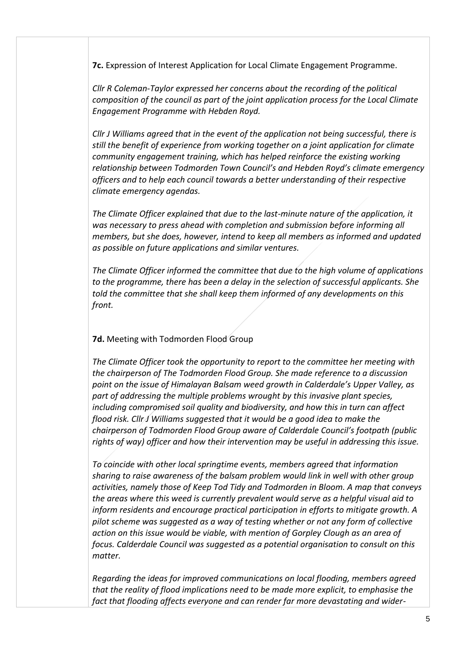**7c.** Expression of Interest Application for Local Climate Engagement Programme.

*Cllr R Coleman-Taylor expressed her concerns about the recording of the political composition of the council as part of the joint application process for the Local Climate Engagement Programme with Hebden Royd.*

*Cllr J Williams agreed that in the event of the application not being successful, there is still the benefit of experience from working together on a joint application for climate community engagement training, which has helped reinforce the existing working relationship between Todmorden Town Council's and Hebden Royd's climate emergency officers and to help each council towards a better understanding of their respective climate emergency agendas.*

*The Climate Officer explained that due to the last-minute nature of the application, it was necessary to press ahead with completion and submission before informing all members, but she does, however, intend to keep all members as informed and updated as possible on future applications and similar ventures.*

*The Climate Officer informed the committee that due to the high volume of applications to the programme, there has been a delay in the selection of successful applicants. She told the committee that she shall keep them informed of any developments on this front.*

## **7d.** Meeting with Todmorden Flood Group

*The Climate Officer took the opportunity to report to the committee her meeting with the chairperson of The Todmorden Flood Group. She made reference to a discussion point on the issue of Himalayan Balsam weed growth in Calderdale's Upper Valley, as part of addressing the multiple problems wrought by this invasive plant species, including compromised soil quality and biodiversity, and how this in turn can affect flood risk. Cllr J Williams suggested that it would be a good idea to make the chairperson of Todmorden Flood Group aware of Calderdale Council's footpath (public rights of way) officer and how their intervention may be useful in addressing this issue.*

*To coincide with other local springtime events, members agreed that information sharing to raise awareness of the balsam problem would link in well with other group activities, namely those of Keep Tod Tidy and Todmorden in Bloom. A map that conveys the areas where this weed is currently prevalent would serve as a helpful visual aid to inform residents and encourage practical participation in efforts to mitigate growth. A pilot scheme was suggested as a way of testing whether or not any form of collective action on this issue would be viable, with mention of Gorpley Clough as an area of focus. Calderdale Council was suggested as a potential organisation to consult on this matter.*

*Regarding the ideas for improved communications on local flooding, members agreed that the reality of flood implications need to be made more explicit, to emphasise the fact that flooding affects everyone and can render far more devastating and wider-*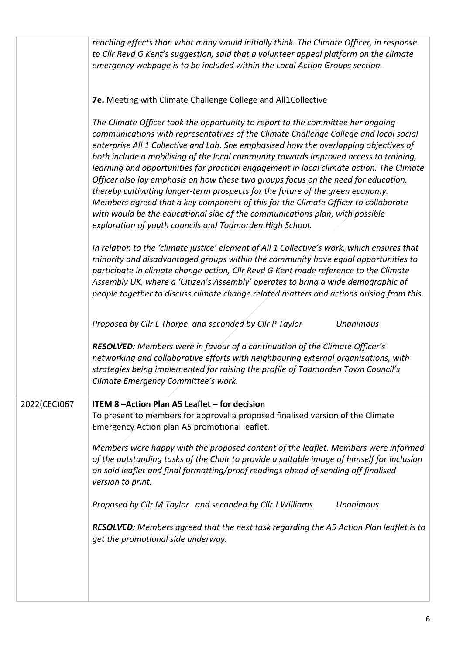|              | reaching effects than what many would initially think. The Climate Officer, in response<br>to Cllr Revd G Kent's suggestion, said that a volunteer appeal platform on the climate<br>emergency webpage is to be included within the Local Action Groups section.                                                                                                                                                                                                                                                                                                                                                                                                                                                                                                                                                                                                 |
|--------------|------------------------------------------------------------------------------------------------------------------------------------------------------------------------------------------------------------------------------------------------------------------------------------------------------------------------------------------------------------------------------------------------------------------------------------------------------------------------------------------------------------------------------------------------------------------------------------------------------------------------------------------------------------------------------------------------------------------------------------------------------------------------------------------------------------------------------------------------------------------|
|              | 7e. Meeting with Climate Challenge College and All1Collective                                                                                                                                                                                                                                                                                                                                                                                                                                                                                                                                                                                                                                                                                                                                                                                                    |
|              | The Climate Officer took the opportunity to report to the committee her ongoing<br>communications with representatives of the Climate Challenge College and local social<br>enterprise All 1 Collective and Lab. She emphasised how the overlapping objectives of<br>both include a mobilising of the local community towards improved access to training,<br>learning and opportunities for practical engagement in local climate action. The Climate<br>Officer also lay emphasis on how these two groups focus on the need for education,<br>thereby cultivating longer-term prospects for the future of the green economy.<br>Members agreed that a key component of this for the Climate Officer to collaborate<br>with would be the educational side of the communications plan, with possible<br>exploration of youth councils and Todmorden High School. |
|              | In relation to the 'climate justice' element of All 1 Collective's work, which ensures that<br>minority and disadvantaged groups within the community have equal opportunities to<br>participate in climate change action, Cllr Revd G Kent made reference to the Climate<br>Assembly UK, where a 'Citizen's Assembly' operates to bring a wide demographic of<br>people together to discuss climate change related matters and actions arising from this.                                                                                                                                                                                                                                                                                                                                                                                                       |
|              | Proposed by Cllr L Thorpe and seconded by Cllr P Taylor<br><b>Unanimous</b>                                                                                                                                                                                                                                                                                                                                                                                                                                                                                                                                                                                                                                                                                                                                                                                      |
|              | RESOLVED: Members were in favour of a continuation of the Climate Officer's<br>networking and collaborative efforts with neighbouring external organisations, with<br>strategies being implemented for raising the profile of Todmorden Town Council's<br>Climate Emergency Committee's work.                                                                                                                                                                                                                                                                                                                                                                                                                                                                                                                                                                    |
| 2022(CEC)067 | ITEM 8-Action Plan A5 Leaflet - for decision                                                                                                                                                                                                                                                                                                                                                                                                                                                                                                                                                                                                                                                                                                                                                                                                                     |
|              | To present to members for approval a proposed finalised version of the Climate<br>Emergency Action plan A5 promotional leaflet.                                                                                                                                                                                                                                                                                                                                                                                                                                                                                                                                                                                                                                                                                                                                  |
|              | Members were happy with the proposed content of the leaflet. Members were informed<br>of the outstanding tasks of the Chair to provide a suitable image of himself for inclusion<br>on said leaflet and final formatting/proof readings ahead of sending off finalised<br>version to print.                                                                                                                                                                                                                                                                                                                                                                                                                                                                                                                                                                      |
|              | Proposed by Cllr M Taylor and seconded by Cllr J Williams<br><b>Unanimous</b>                                                                                                                                                                                                                                                                                                                                                                                                                                                                                                                                                                                                                                                                                                                                                                                    |
|              | RESOLVED: Members agreed that the next task regarding the A5 Action Plan leaflet is to<br>get the promotional side underway.                                                                                                                                                                                                                                                                                                                                                                                                                                                                                                                                                                                                                                                                                                                                     |
|              |                                                                                                                                                                                                                                                                                                                                                                                                                                                                                                                                                                                                                                                                                                                                                                                                                                                                  |
|              |                                                                                                                                                                                                                                                                                                                                                                                                                                                                                                                                                                                                                                                                                                                                                                                                                                                                  |